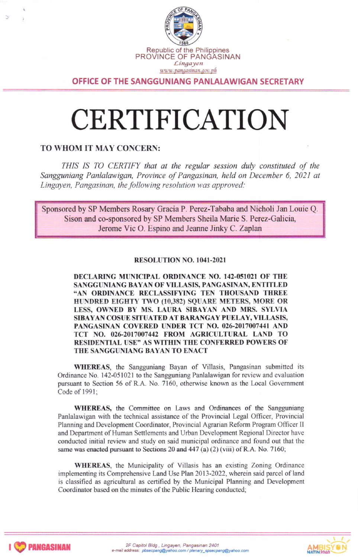

OFFICE OF THE SANGGUNIANG PANLALAWIGAN SECRETARY

## CERTIFICATION

## TO WHOM IT MAY CONCERN:

THIS IS TO CERTIFY that at the regular session duly constituted of the Sangguniang Panlalawigan, Province of Pangasinan, held on December 6, 2021 at Lingayen, Pangasinan, the following resolution was approved:

Sponsored by SP Members Rosary Gracia P. Perez-Tababa and Nicholi Jan Louie Q. Sison and co-sponsored by SP Members Sheila Marie S. Perez-Galicia, Jerome Vic O. Espino and Jeanne Jinky C. Zaplan

## **RESOLUTION NO. 1041-2021**

DECLARING MUNICIPAL ORDINANCE NO. I42-O51O2I OF THE SANGGUNIANG BAYAN OF VILLASIS, PANGASINAN, ENTITLED "AN ORDINANCE RECLASSIFYING TEN THOUSAND THREE HUNDRED EIGHTY TWO (10,382) SQUARE METERS, MORE OR LESS. OWNED BY MS. LAURA SIBAYAN AND MRS. SYLVIA SIBAYAN COSUE SITUATED AT BARANGAY PIIELAY, VILLASIS, PANGASINAN COVERED UNDER TCT NO. 026-2017007441 AND TCT NO. 026-2017007442 FROM AGRICULTURAL LAND TO RESIDENTIAL USE" AS WITHIN THE CONFERRED POWERS OF THE SANGGUNIANG BAYAN TO ENACT

WHEREAS, the Sangguniang Bayan of Villasis, Pangasinan submitted its Ordinance No. 142-051021 to the Sangguniang Panlalawigan for review and evaluation pusuant to Section 56 of R.A. No. 7160, otherwise known as the Local Govemment Code of 1991;

WHEREAS, the Committee on Laws and Ordinances of the Sangguniang Panlalawigan with the technical assistance of the Provincial Legal Officer, Provincial Planning and Development Coordinator, Provincial Agrarian Reform Program Officer II and Department of Human Settlements and Urban Development Regional Director have conducted initial review and study on said municipal ordinance and found out that the same was enacted pursuant to Sections 20 and 447 (a) (2) (viii) of R.A. No. 7160;

WHEREAS, the Municipality of Villasis has an existing Zoning Ordinance implementing its Comprehensive Land Use Plan 2013-2022, wherein said parcel of land is classified as agricultural as certified by the Municipal Planning and Development Coordinator based on the minutes of the Public Hearing conducted;